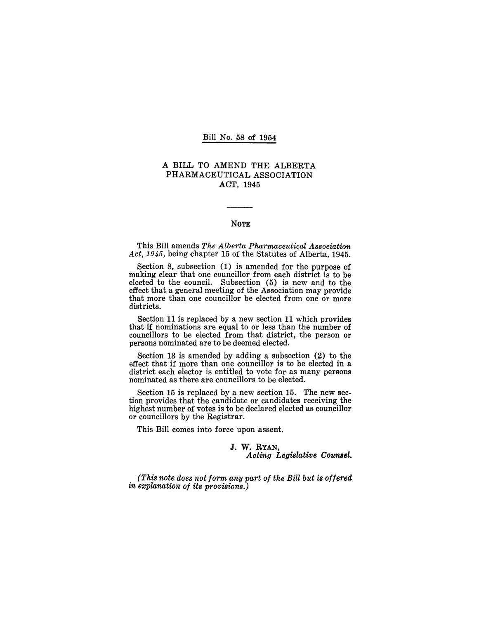#### Bill No. 58 of 1954

# A BILL TO AMEND THE ALBERTA PHARMACEUTICAL ASSOCIATION ACT, 1945

## NOTE

This Bill amends *The Alberta Pharmaceutical Association Act,* 1945, being chapter 15 of the Statutes of Alberta, 1945.

Section 8, subsection (1) is amended for the purpose of making clear that one councillor from each district is to be elected to the council. Subsection  $(5)$  is new and to the effect that a general meeting of the Association may provide that more than one councillor be elected from one or more districts.

Section 11 is replaced by a new section 11 which provides that if nominations are equal to or less than the number of councillors to be elected from that district, the person or persons nominated are to be deemed elected.

Section 13 is amended by adding a subsection (2) to the effect that if more than one councillor is to be elected in a district each elector is entitled to vote for as many persons nominated as there are councillors to be elected.

Section 15 is replaced by a new section 15. The new section provides that the candidate or candidates receiving the highest number of votes is to be declared elected as councillor or councillors by the Registrar.

This Bill comes into force upon assent.

#### J. W. RYAN, *Acting Legislative Coumel.*

*(This note does not form any part of the Bill but is offered in explanation of its provisions.)*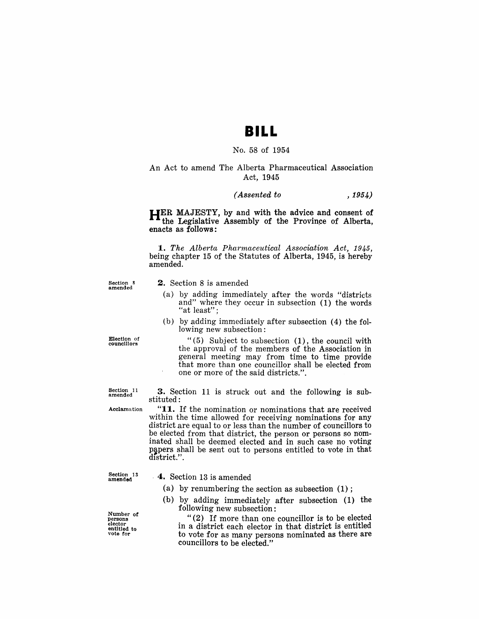# **BILL**

#### No. 58 of 1954

# An Act to amend The Alberta Pharmaceutical Association Act, 1945

#### *(Assented to* , 1954)

**HER** MAJESTY, by and with the advice and consent of the Legislative Assembly of the Province of Alberta, enacts as follows:

*1. The Alberta Pharmaceutical Association Act, 1945,*  being chapter 15 of the Statutes of Alberta, 1945, is hereby amended.

Section 8 amended

# 2. Section 8 is amended

- (a) by adding immediately after the words "districts and" where they occur in subsection (1) the words "at least";
- (b) by adding immediately after subsection (4) the following new subsection:

"(5) Subject to subsection (1), the council with the approval of the members of the Association in general meeting may from time to time provide that more than one councillor shall be elected from

Election of councillors

> 3. Section 11 is struck out and the following is substituted:

one or more of the said districts.".

Section 11 amended

Acclamation

"11. If the nomination or nominations that are received within the time allowed for receiving nominations for any district are equal to or less than the number of councillors to be elected from that district, the person or persons so nominated shall be deemed elected and in such case no voting papers shall be sent out to persons entitled to vote in that district.".

Section 13 amended

#### , 4. Section 13 is amended

- (a) by renumbering the section as subsection (1) ;
- (b) by adding immediately after subsection (1) the following new subsection:

"(2) If more than one councillor is to be elected in a district each elector in that district is entitled to vote for as many persons nominated as there are councillors to be elected."

Number *ot*  persons elector<br>entitled to<br>vote for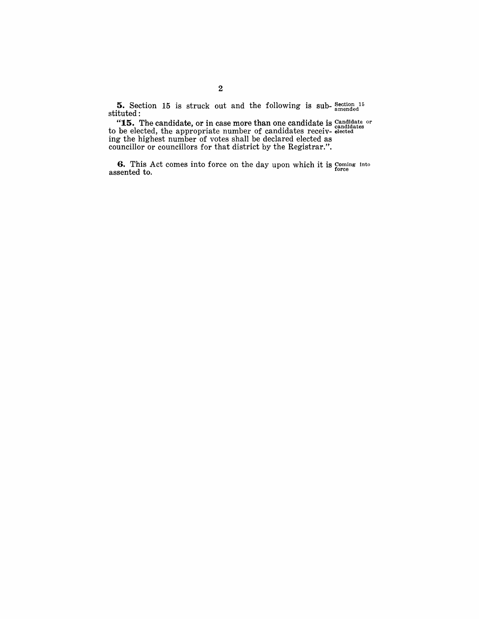**5.** Section 15 is struck out and the following is sub- $\frac{\text{Section 15}}{\text{amended}}$ stituted:

"15. The candidate, or in case more than one candidate is Candidate or to be elected, the appropriate number of candidates receiv- elected ing the highest number of votes shall be declared elected as councillor or councillors for that district by the Registrar.".

**6.** This Act comes into force on the day upon which it is Coming Into  $\sum_{i=1}^{\infty}$  assented to.